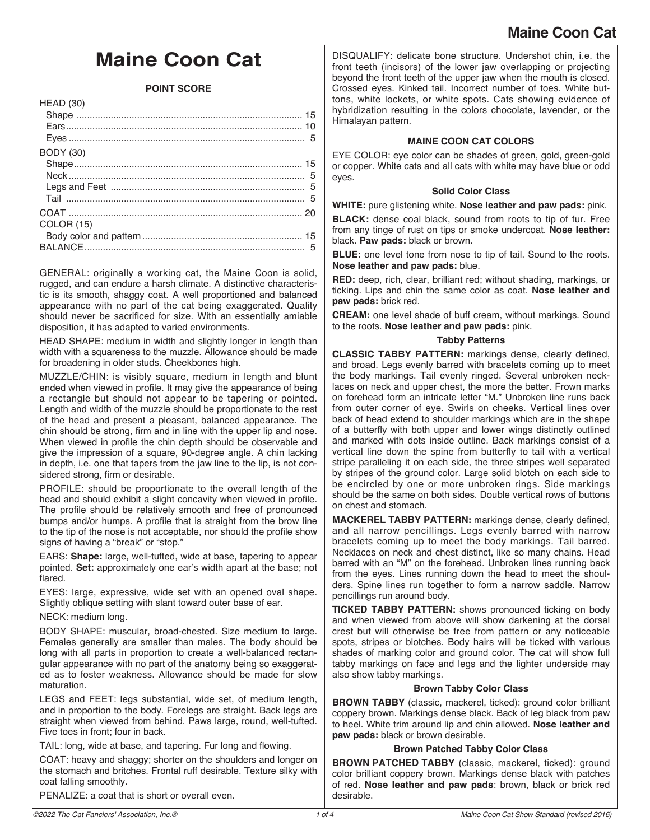# **Maine Coon Cat**

# **Maine Coon Cat**

# **POINT SCORE**

| <b>HEAD (30)</b>  |  |
|-------------------|--|
|                   |  |
|                   |  |
|                   |  |
| <b>BODY (30)</b>  |  |
|                   |  |
|                   |  |
|                   |  |
|                   |  |
|                   |  |
| <b>COLOR (15)</b> |  |
|                   |  |
|                   |  |

GENERAL: originally a working cat, the Maine Coon is solid, rugged, and can endure a harsh climate. A distinctive characteristic is its smooth, shaggy coat. A well proportioned and balanced appearance with no part of the cat being exaggerated. Quality should never be sacrificed for size. With an essentially amiable disposition, it has adapted to varied environments.

HEAD SHAPE: medium in width and slightly longer in length than width with a squareness to the muzzle. Allowance should be made for broadening in older studs. Cheekbones high.

MUZZLE/CHIN: is visibly square, medium in length and blunt ended when viewed in profile. It may give the appearance of being a rectangle but should not appear to be tapering or pointed. Length and width of the muzzle should be proportionate to the rest of the head and present a pleasant, balanced appearance. The chin should be strong, firm and in line with the upper lip and nose. When viewed in profile the chin depth should be observable and give the impression of a square, 90-degree angle. A chin lacking in depth, i.e. one that tapers from the jaw line to the lip, is not considered strong, firm or desirable.

PROFILE: should be proportionate to the overall length of the head and should exhibit a slight concavity when viewed in profile. The profile should be relatively smooth and free of pronounced bumps and/or humps. A profile that is straight from the brow line to the tip of the nose is not acceptable, nor should the profile show signs of having a "break" or "stop."

EARS: **Shape:** large, well-tufted, wide at base, tapering to appear pointed. **Set:** approximately one ear's width apart at the base; not flared.

EYES: large, expressive, wide set with an opened oval shape. Slightly oblique setting with slant toward outer base of ear.

NECK: medium long.

BODY SHAPE: muscular, broad-chested. Size medium to large. Females generally are smaller than males. The body should be long with all parts in proportion to create a well-balanced rectangular appearance with no part of the anatomy being so exaggerated as to foster weakness. Allowance should be made for slow maturation.

LEGS and FEET: legs substantial, wide set, of medium length, and in proportion to the body. Forelegs are straight. Back legs are straight when viewed from behind. Paws large, round, well-tufted. Five toes in front; four in back.

TAIL: long, wide at base, and tapering. Fur long and flowing.

COAT: heavy and shaggy; shorter on the shoulders and longer on the stomach and britches. Frontal ruff desirable. Texture silky with coat falling smoothly.

PENALIZE: a coat that is short or overall even.

DISQUALIFY: delicate bone structure. Undershot chin, i.e. the front teeth (incisors) of the lower jaw overlapping or projecting beyond the front teeth of the upper jaw when the mouth is closed. Crossed eyes. Kinked tail. Incorrect number of toes. White buttons, white lockets, or white spots. Cats showing evidence of hybridization resulting in the colors chocolate, lavender, or the Himalayan pattern.

# **MAINE COON CAT COLORS**

EYE COLOR: eye color can be shades of green, gold, green-gold or copper. White cats and all cats with white may have blue or odd eyes.

# **Solid Color Class**

**WHITE:** pure glistening white. **Nose leather and paw pads:** pink.

**BLACK:** dense coal black, sound from roots to tip of fur. Free from any tinge of rust on tips or smoke undercoat. **Nose leather:**  black. **Paw pads:** black or brown.

**BLUE:** one level tone from nose to tip of tail. Sound to the roots. **Nose leather and paw pads:** blue.

**RED:** deep, rich, clear, brilliant red; without shading, markings, or ticking. Lips and chin the same color as coat. **Nose leather and paw pads:** brick red.

**CREAM:** one level shade of buff cream, without markings. Sound to the roots. **Nose leather and paw pads:** pink.

# **Tabby Patterns**

**CLASSIC TABBY PATTERN:** markings dense, clearly defined, and broad. Legs evenly barred with bracelets coming up to meet the body markings. Tail evenly ringed. Several unbroken necklaces on neck and upper chest, the more the better. Frown marks on forehead form an intricate letter "M." Unbroken line runs back from outer corner of eye. Swirls on cheeks. Vertical lines over back of head extend to shoulder markings which are in the shape of a butterfly with both upper and lower wings distinctly outlined and marked with dots inside outline. Back markings consist of a vertical line down the spine from butterfly to tail with a vertical stripe paralleling it on each side, the three stripes well separated by stripes of the ground color. Large solid blotch on each side to be encircled by one or more unbroken rings. Side markings should be the same on both sides. Double vertical rows of buttons on chest and stomach.

**MACKEREL TABBY PATTERN:** markings dense, clearly defined, and all narrow pencillings. Legs evenly barred with narrow bracelets coming up to meet the body markings. Tail barred. Necklaces on neck and chest distinct, like so many chains. Head barred with an "M" on the forehead. Unbroken lines running back from the eyes. Lines running down the head to meet the shoulders. Spine lines run together to form a narrow saddle. Narrow pencillings run around body.

**TICKED TABBY PATTERN:** shows pronounced ticking on body and when viewed from above will show darkening at the dorsal crest but will otherwise be free from pattern or any noticeable spots, stripes or blotches. Body hairs will be ticked with various shades of marking color and ground color. The cat will show full tabby markings on face and legs and the lighter underside may also show tabby markings.

# **Brown Tabby Color Class**

**BROWN TABBY** (classic, mackerel, ticked): ground color brilliant coppery brown. Markings dense black. Back of leg black from paw to heel. White trim around lip and chin allowed. **Nose leather and paw pads:** black or brown desirable.

# **Brown Patched Tabby Color Class**

**BROWN PATCHED TABBY** (classic, mackerel, ticked): ground color brilliant coppery brown. Markings dense black with patches of red. **Nose leather and paw pads**: brown, black or brick red desirable.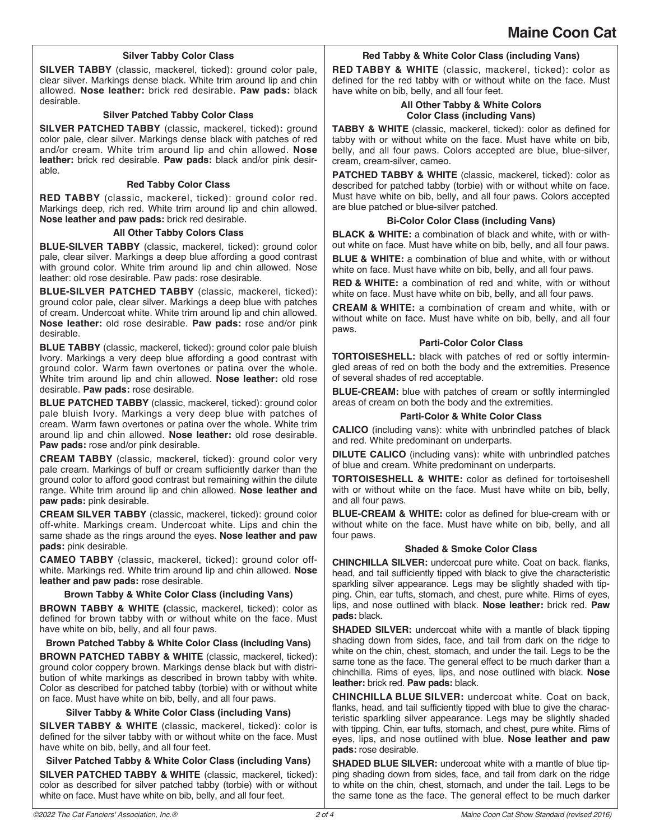#### **Silver Tabby Color Class**

**SILVER TABBY** (classic, mackerel, ticked): ground color pale, clear silver. Markings dense black. White trim around lip and chin allowed. **Nose leather:** brick red desirable. **Paw pads:** black desirable.

#### **Silver Patched Tabby Color Class**

**SILVER PATCHED TABBY** (classic, mackerel, ticked)**:** ground color pale, clear silver. Markings dense black with patches of red and/or cream. White trim around lip and chin allowed. **Nose leather:** brick red desirable. **Paw pads:** black and/or pink desirable.

#### **Red Tabby Color Class**

**RED TABBY** (classic, mackerel, ticked): ground color red. Markings deep, rich red. White trim around lip and chin allowed. **Nose leather and paw pads:** brick red desirable.

#### **All Other Tabby Colors Class**

**BLUE-SILVER TABBY** (classic, mackerel, ticked): ground color pale, clear silver. Markings a deep blue affording a good contrast with ground color. White trim around lip and chin allowed. Nose leather: old rose desirable. Paw pads: rose desirable.

**BLUE-SILVER PATCHED TABBY** (classic, mackerel, ticked): ground color pale, clear silver. Markings a deep blue with patches of cream. Undercoat white. White trim around lip and chin allowed. **Nose leather:** old rose desirable. **Paw pads:** rose and/or pink desirable.

**BLUE TABBY** (classic, mackerel, ticked): ground color pale bluish Ivory. Markings a very deep blue affording a good contrast with ground color. Warm fawn overtones or patina over the whole. White trim around lip and chin allowed. **Nose leather:** old rose desirable. **Paw pads:** rose desirable.

**BLUE PATCHED TABBY** (classic, mackerel, ticked): ground color pale bluish Ivory. Markings a very deep blue with patches of cream. Warm fawn overtones or patina over the whole. White trim around lip and chin allowed. **Nose leather:** old rose desirable. **Paw pads:** rose and/or pink desirable.

**CREAM TABBY** (classic, mackerel, ticked): ground color very pale cream. Markings of buff or cream sufficiently darker than the ground color to afford good contrast but remaining within the dilute range. White trim around lip and chin allowed. **Nose leather and paw pads:** pink desirable.

**CREAM SILVER TABBY** (classic, mackerel, ticked): ground color off-white. Markings cream. Undercoat white. Lips and chin the same shade as the rings around the eyes. **Nose leather and paw pads:** pink desirable.

**CAMEO TABBY** (classic, mackerel, ticked): ground color offwhite. Markings red. White trim around lip and chin allowed. **Nose leather and paw pads:** rose desirable.

# **Brown Tabby & White Color Class (including Vans)**

**BROWN TABBY & WHITE (**classic, mackerel, ticked): color as defined for brown tabby with or without white on the face. Must have white on bib, belly, and all four paws.

#### **Brown Patched Tabby & White Color Class (including Vans)**

**BROWN PATCHED TABBY & WHITE** (classic, mackerel, ticked): ground color coppery brown. Markings dense black but with distribution of white markings as described in brown tabby with white. Color as described for patched tabby (torbie) with or without white on face. Must have white on bib, belly, and all four paws.

#### **Silver Tabby & White Color Class (including Vans)**

**SILVER TABBY & WHITE** (classic, mackerel, ticked): color is defined for the silver tabby with or without white on the face. Must have white on bib, belly, and all four feet.

#### **Silver Patched Tabby & White Color Class (including Vans)**

**SILVER PATCHED TABBY & WHITE** (classic, mackerel, ticked): color as described for silver patched tabby (torbie) with or without white on face. Must have white on bib, belly, and all four feet.

# **Red Tabby & White Color Class (including Vans)**

**RED TABBY & WHITE** (classic, mackerel, ticked): color as defined for the red tabby with or without white on the face. Must have white on bib, belly, and all four feet.

# **All Other Tabby & White Colors Color Class (including Vans)**

**TABBY & WHITE** (classic, mackerel, ticked): color as defined for tabby with or without white on the face. Must have white on bib, belly, and all four paws. Colors accepted are blue, blue-silver, cream, cream-silver, cameo.

**PATCHED TABBY & WHITE** (classic, mackerel, ticked): color as described for patched tabby (torbie) with or without white on face. Must have white on bib, belly, and all four paws. Colors accepted are blue patched or blue-silver patched.

#### **Bi-Color Color Class (including Vans)**

**BLACK & WHITE:** a combination of black and white, with or without white on face. Must have white on bib, belly, and all four paws.

**BLUE & WHITE:** a combination of blue and white, with or without white on face. Must have white on bib, belly, and all four paws.

**RED & WHITE:** a combination of red and white, with or without white on face. Must have white on bib, belly, and all four paws.

**CREAM & WHITE:** a combination of cream and white, with or without white on face. Must have white on bib, belly, and all four paws.

#### **Parti-Color Color Class**

**TORTOISESHELL:** black with patches of red or softly intermingled areas of red on both the body and the extremities. Presence of several shades of red acceptable.

**BLUE-CREAM:** blue with patches of cream or softly intermingled areas of cream on both the body and the extremities.

#### **Parti-Color & White Color Class**

**CALICO** (including vans): white with unbrindled patches of black and red. White predominant on underparts.

**DILUTE CALICO** (including vans): white with unbrindled patches of blue and cream. White predominant on underparts.

**TORTOISESHELL & WHITE:** color as defined for tortoiseshell with or without white on the face. Must have white on bib, belly, and all four paws.

**BLUE-CREAM & WHITE:** color as defined for blue-cream with or without white on the face. Must have white on bib, belly, and all four paws.

#### **Shaded & Smoke Color Class**

**CHINCHILLA SILVER:** undercoat pure white. Coat on back. flanks, head, and tail sufficiently tipped with black to give the characteristic sparkling silver appearance. Legs may be slightly shaded with tipping. Chin, ear tufts, stomach, and chest, pure white. Rims of eyes, lips, and nose outlined with black. **Nose leather:** brick red. **Paw pads:** black.

**SHADED SILVER:** undercoat white with a mantle of black tipping shading down from sides, face, and tail from dark on the ridge to white on the chin, chest, stomach, and under the tail. Legs to be the same tone as the face. The general effect to be much darker than a chinchilla. Rims of eyes, lips, and nose outlined with black. **Nose leather:** brick red. **Paw pads:** black.

**CHINCHILLA BLUE SILVER:** undercoat white. Coat on back, flanks, head, and tail sufficiently tipped with blue to give the characteristic sparkling silver appearance. Legs may be slightly shaded with tipping. Chin, ear tufts, stomach, and chest, pure white. Rims of eyes, lips, and nose outlined with blue. **Nose leather and paw pads:** rose desirable.

**SHADED BLUE SILVER:** undercoat white with a mantle of blue tipping shading down from sides, face, and tail from dark on the ridge to white on the chin, chest, stomach, and under the tail. Legs to be the same tone as the face. The general effect to be much darker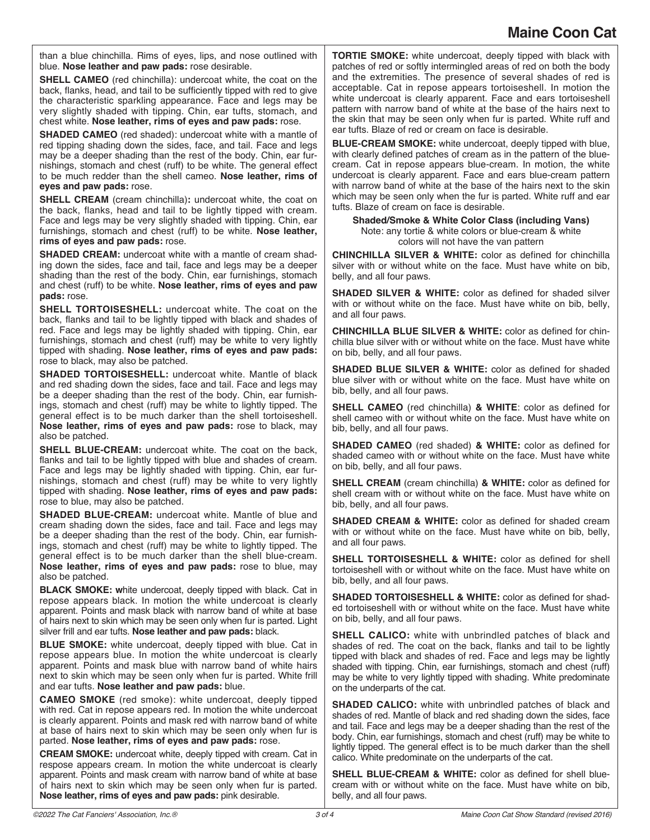# **Maine Coon Cat**

than a blue chinchilla. Rims of eyes, lips, and nose outlined with blue. **Nose leather and paw pads:** rose desirable.

**SHELL CAMEO** (red chinchilla): undercoat white, the coat on the back, flanks, head, and tail to be sufficiently tipped with red to give the characteristic sparkling appearance. Face and legs may be very slightly shaded with tipping. Chin, ear tufts, stomach, and chest white. **Nose leather, rims of eyes and paw pads:** rose.

**SHADED CAMEO** (red shaded): undercoat white with a mantle of red tipping shading down the sides, face, and tail. Face and legs may be a deeper shading than the rest of the body. Chin, ear furnishings, stomach and chest (ruff) to be white. The general effect to be much redder than the shell cameo. **Nose leather, rims of eyes and paw pads:** rose.

**SHELL CREAM** (cream chinchilla)**:** undercoat white, the coat on the back, flanks, head and tail to be lightly tipped with cream. Face and legs may be very slightly shaded with tipping. Chin, ear furnishings, stomach and chest (ruff) to be white. **Nose leather, rims of eyes and paw pads:** rose.

**SHADED CREAM:** undercoat white with a mantle of cream shading down the sides, face and tail, face and legs may be a deeper shading than the rest of the body. Chin, ear furnishings, stomach and chest (ruff) to be white. **Nose leather, rims of eyes and paw pads:** rose.

**SHELL TORTOISESHELL:** undercoat white. The coat on the back, flanks and tail to be lightly tipped with black and shades of red. Face and legs may be lightly shaded with tipping. Chin, ear furnishings, stomach and chest (ruff) may be white to very lightly tipped with shading. **Nose leather, rims of eyes and paw pads:**  rose to black, may also be patched.

**SHADED TORTOISESHELL:** undercoat white. Mantle of black and red shading down the sides, face and tail. Face and legs may be a deeper shading than the rest of the body. Chin, ear furnishings, stomach and chest (ruff) may be white to lightly tipped. The general effect is to be much darker than the shell tortoiseshell. **Nose leather, rims of eyes and paw pads:** rose to black, may also be patched.

**SHELL BLUE-CREAM:** undercoat white. The coat on the back, flanks and tail to be lightly tipped with blue and shades of cream. Face and legs may be lightly shaded with tipping. Chin, ear furnishings, stomach and chest (ruff) may be white to very lightly tipped with shading. **Nose leather, rims of eyes and paw pads:** rose to blue, may also be patched.

**SHADED BLUE-CREAM:** undercoat white. Mantle of blue and cream shading down the sides, face and tail. Face and legs may be a deeper shading than the rest of the body. Chin, ear furnishings, stomach and chest (ruff) may be white to lightly tipped. The general effect is to be much darker than the shell blue-cream. **Nose leather, rims of eyes and paw pads:** rose to blue, may also be patched.

**BLACK SMOKE: w**hite undercoat, deeply tipped with black. Cat in repose appears black. In motion the white undercoat is clearly apparent. Points and mask black with narrow band of white at base of hairs next to skin which may be seen only when fur is parted. Light silver frill and ear tufts. **Nose leather and paw pads:** black.

**BLUE SMOKE:** white undercoat, deeply tipped with blue. Cat in repose appears blue. In motion the white undercoat is clearly apparent. Points and mask blue with narrow band of white hairs next to skin which may be seen only when fur is parted. White frill and ear tufts. **Nose leather and paw pads:** blue.

**CAMEO SMOKE** (red smoke): white undercoat, deeply tipped with red. Cat in repose appears red. In motion the white undercoat is clearly apparent. Points and mask red with narrow band of white at base of hairs next to skin which may be seen only when fur is parted. **Nose leather, rims of eyes and paw pads:** rose.

**CREAM SMOKE:** undercoat white, deeply tipped with cream. Cat in respose appears cream. In motion the white undercoat is clearly apparent. Points and mask cream with narrow band of white at base of hairs next to skin which may be seen only when fur is parted. **Nose leather, rims of eyes and paw pads:** pink desirable.

**TORTIE SMOKE:** white undercoat, deeply tipped with black with patches of red or softly intermingled areas of red on both the body and the extremities. The presence of several shades of red is acceptable. Cat in repose appears tortoiseshell. In motion the white undercoat is clearly apparent. Face and ears tortoiseshell pattern with narrow band of white at the base of the hairs next to the skin that may be seen only when fur is parted. White ruff and ear tufts. Blaze of red or cream on face is desirable.

**BLUE-CREAM SMOKE:** white undercoat, deeply tipped with blue, with clearly defined patches of cream as in the pattern of the bluecream. Cat in repose appears blue-cream. In motion, the white undercoat is clearly apparent. Face and ears blue-cream pattern with narrow band of white at the base of the hairs next to the skin which may be seen only when the fur is parted. White ruff and ear tufts. Blaze of cream on face is desirable.

**Shaded/Smoke & White Color Class (including Vans)**  Note: any tortie & white colors or blue-cream & white colors will not have the van pattern

**CHINCHILLA SILVER & WHITE:** color as defined for chinchilla silver with or without white on the face. Must have white on bib, belly, and all four paws.

**SHADED SILVER & WHITE:** color as defined for shaded silver with or without white on the face. Must have white on bib, belly, and all four paws.

**CHINCHILLA BLUE SILVER & WHITE:** color as defined for chinchilla blue silver with or without white on the face. Must have white on bib, belly, and all four paws.

**SHADED BLUE SILVER & WHITE:** color as defined for shaded blue silver with or without white on the face. Must have white on bib, belly, and all four paws.

**SHELL CAMEO** (red chinchilla) **& WHITE**: color as defined for shell cameo with or without white on the face. Must have white on bib, belly, and all four paws.

**SHADED CAMEO** (red shaded) **& WHITE:** color as defined for shaded cameo with or without white on the face. Must have white on bib, belly, and all four paws.

**SHELL CREAM** (cream chinchilla) **& WHITE:** color as defined for shell cream with or without white on the face. Must have white on bib, belly, and all four paws.

**SHADED CREAM & WHITE:** color as defined for shaded cream with or without white on the face. Must have white on bib, belly, and all four paws.

**SHELL TORTOISESHELL & WHITE:** color as defined for shell tortoiseshell with or without white on the face. Must have white on bib, belly, and all four paws.

**SHADED TORTOISESHELL & WHITE:** color as defined for shaded tortoiseshell with or without white on the face. Must have white on bib, belly, and all four paws.

**SHELL CALICO:** white with unbrindled patches of black and shades of red. The coat on the back, flanks and tail to be lightly tipped with black and shades of red. Face and legs may be lightly shaded with tipping. Chin, ear furnishings, stomach and chest (ruff) may be white to very lightly tipped with shading. White predominate on the underparts of the cat.

**SHADED CALICO:** white with unbrindled patches of black and shades of red. Mantle of black and red shading down the sides, face and tail. Face and legs may be a deeper shading than the rest of the body. Chin, ear furnishings, stomach and chest (ruff) may be white to lightly tipped. The general effect is to be much darker than the shell calico. White predominate on the underparts of the cat.

**SHELL BLUE-CREAM & WHITE:** color as defined for shell bluecream with or without white on the face. Must have white on bib, belly, and all four paws.